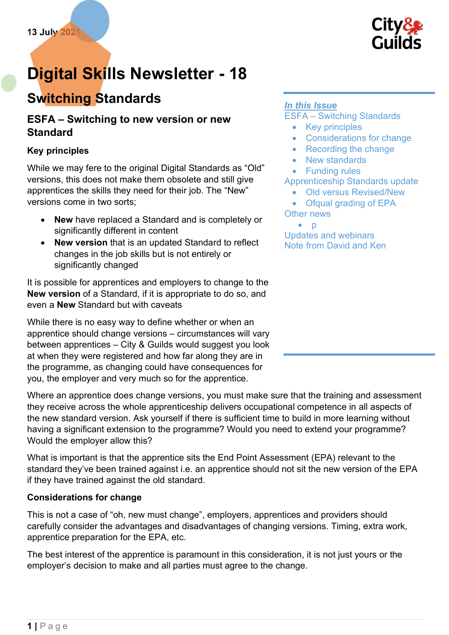

# Digital Skills Newsletter - 18

# Switching Standards

# ESFA – Switching to new version or new Standard

#### Key principles

While we may fere to the original Digital Standards as "Old" versions, this does not make them obsolete and still give apprentices the skills they need for their job. The "New" versions come in two sorts;

- New have replaced a Standard and is completely or significantly different in content
- New version that is an updated Standard to reflect changes in the job skills but is not entirely or significantly changed

It is possible for apprentices and employers to change to the New version of a Standard, if it is appropriate to do so, and even a New Standard but with caveats

While there is no easy way to define whether or when an apprentice should change versions – circumstances will vary between apprentices – City & Guilds would suggest you look at when they were registered and how far along they are in the programme, as changing could have consequences for you, the employer and very much so for the apprentice.

Where an apprentice does change versions, you must make sure that the training and assessment they receive across the whole apprenticeship delivers occupational competence in all aspects of the new standard version. Ask yourself if there is sufficient time to build in more learning without having a significant extension to the programme? Would you need to extend your programme? Would the employer allow this?

What is important is that the apprentice sits the End Point Assessment (EPA) relevant to the standard they've been trained against i.e. an apprentice should not sit the new version of the EPA if they have trained against the old standard.

#### Considerations for change

This is not a case of "oh, new must change", employers, apprentices and providers should carefully consider the advantages and disadvantages of changing versions. Timing, extra work, apprentice preparation for the EPA, etc.

The best interest of the apprentice is paramount in this consideration, it is not just yours or the employer's decision to make and all parties must agree to the change.

#### In this Issue

ESFA – Switching Standards

- Key principles
- Considerations for change
- Recording the change
- New standards
- Funding rules

#### Apprenticeship Standards update

- Old versus Revised/New
- Ofqual grading of EPA Other news
	- $\bullet$  p

Updates and webinars Note from David and Ken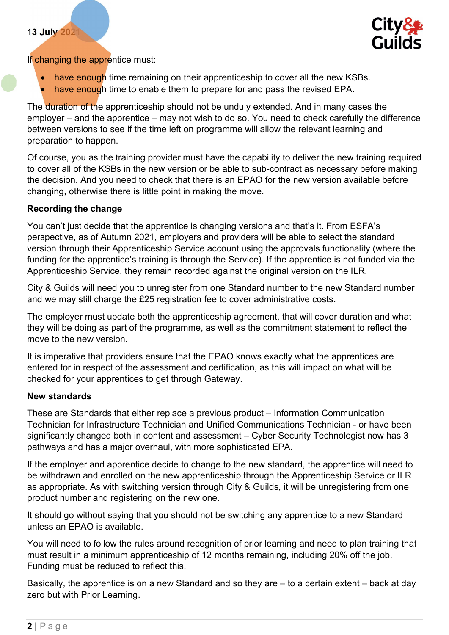#### 13 July 2021



If changing the apprentice must:

- have enough time remaining on their apprenticeship to cover all the new KSBs.
- have enough time to enable them to prepare for and pass the revised EPA.

The duration of the apprenticeship should not be unduly extended. And in many cases the employer – and the apprentice – may not wish to do so. You need to check carefully the difference between versions to see if the time left on programme will allow the relevant learning and preparation to happen.

Of course, you as the training provider must have the capability to deliver the new training required to cover all of the KSBs in the new version or be able to sub-contract as necessary before making the decision. And you need to check that there is an EPAO for the new version available before changing, otherwise there is little point in making the move.

#### Recording the change

You can't just decide that the apprentice is changing versions and that's it. From ESFA's perspective, as of Autumn 2021, employers and providers will be able to select the standard version through their Apprenticeship Service account using the approvals functionality (where the funding for the apprentice's training is through the Service). If the apprentice is not funded via the Apprenticeship Service, they remain recorded against the original version on the ILR.

City & Guilds will need you to unregister from one Standard number to the new Standard number and we may still charge the £25 registration fee to cover administrative costs.

The employer must update both the apprenticeship agreement, that will cover duration and what they will be doing as part of the programme, as well as the commitment statement to reflect the move to the new version.

It is imperative that providers ensure that the EPAO knows exactly what the apprentices are entered for in respect of the assessment and certification, as this will impact on what will be checked for your apprentices to get through Gateway.

#### New standards

These are Standards that either replace a previous product – Information Communication Technician for Infrastructure Technician and Unified Communications Technician - or have been significantly changed both in content and assessment – Cyber Security Technologist now has 3 pathways and has a major overhaul, with more sophisticated EPA.

If the employer and apprentice decide to change to the new standard, the apprentice will need to be withdrawn and enrolled on the new apprenticeship through the Apprenticeship Service or ILR as appropriate. As with switching version through City & Guilds, it will be unregistering from one product number and registering on the new one.

It should go without saying that you should not be switching any apprentice to a new Standard unless an EPAO is available.

You will need to follow the rules around recognition of prior learning and need to plan training that must result in a minimum apprenticeship of 12 months remaining, including 20% off the job. Funding must be reduced to reflect this.

Basically, the apprentice is on a new Standard and so they are – to a certain extent – back at day zero but with Prior Learning.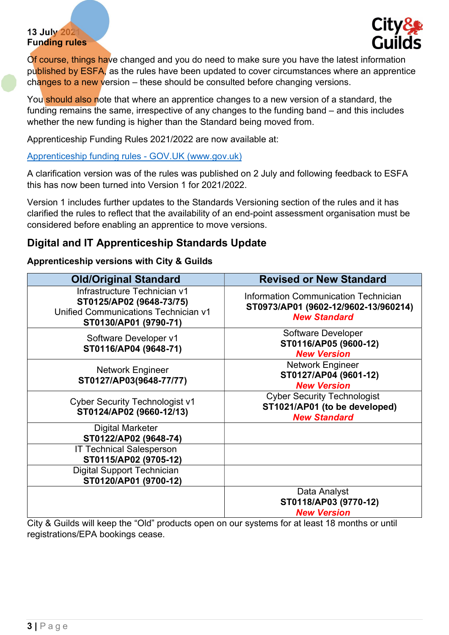#### 13 July 2021 Funding rules



Of course, things have changed and you do need to make sure you have the latest information published by ESFA, as the rules have been updated to cover circumstances where an apprentice changes to a new version – these should be consulted before changing versions.

You should also note that where an apprentice changes to a new version of a standard, the funding remains the same, irrespective of any changes to the funding band – and this includes whether the new funding is higher than the Standard being moved from.

Apprenticeship Funding Rules 2021/2022 are now available at:

[Apprenticeship funding rules - GOV.UK \(www.gov.uk\)](https://www.gov.uk/guidance/apprenticeship-funding-rules)

A clarification version was of the rules was published on 2 July and following feedback to ESFA this has now been turned into Version 1 for 2021/2022.

Version 1 includes further updates to the Standards Versioning section of the rules and it has clarified the rules to reflect that the availability of an end-point assessment organisation must be considered before enabling an apprentice to move versions.

# Digital and IT Apprenticeship Standards Update

#### Apprenticeship versions with City & Guilds

| <b>Old/Original Standard</b>                                                                                              | <b>Revised or New Standard</b>                                                                      |
|---------------------------------------------------------------------------------------------------------------------------|-----------------------------------------------------------------------------------------------------|
| Infrastructure Technician v1<br>ST0125/AP02 (9648-73/75)<br>Unified Communications Technician v1<br>ST0130/AP01 (9790-71) | Information Communication Technician<br>ST0973/AP01 (9602-12/9602-13/960214)<br><b>New Standard</b> |
| Software Developer v1<br>ST0116/AP04 (9648-71)                                                                            | <b>Software Developer</b><br>ST0116/AP05 (9600-12)<br><b>New Version</b>                            |
| <b>Network Engineer</b><br>ST0127/AP03(9648-77/77)                                                                        | <b>Network Engineer</b><br>ST0127/AP04 (9601-12)<br><b>New Version</b>                              |
| <b>Cyber Security Technologist v1</b><br>ST0124/AP02 (9660-12/13)                                                         | <b>Cyber Security Technologist</b><br>ST1021/AP01 (to be developed)<br><b>New Standard</b>          |
| <b>Digital Marketer</b><br>ST0122/AP02 (9648-74)                                                                          |                                                                                                     |
| <b>IT Technical Salesperson</b><br>ST0115/AP02 (9705-12)                                                                  |                                                                                                     |
| <b>Digital Support Technician</b><br>ST0120/AP01 (9700-12)                                                                |                                                                                                     |
| City 8. Cuilde will keep the "Old" products open on our systems for at least 18 months or until                           | Data Analyst<br>ST0118/AP03 (9770-12)<br><b>New Version</b>                                         |

City & Guilds will keep the "Old" products open on our systems for at least 18 months or until registrations/EPA bookings cease.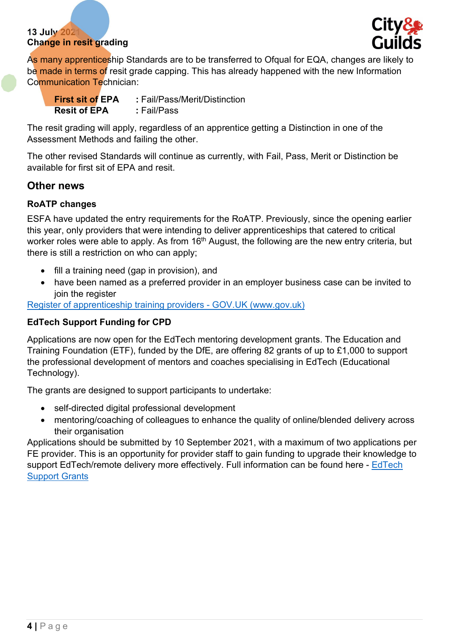#### 13 July 2021 Change in resit grading



As many apprenticeship Standards are to be transferred to Ofqual for EQA, changes are likely to be made in terms of resit grade capping. This has already happened with the new Information Communication Technician:

| <b>First sit of EPA</b> | : Fail/Pass/Merit/Distinction |
|-------------------------|-------------------------------|
| <b>Resit of EPA</b>     | : Fail/Pass                   |

The resit grading will apply, regardless of an apprentice getting a Distinction in one of the Assessment Methods and failing the other.

The other revised Standards will continue as currently, with Fail, Pass, Merit or Distinction be available for first sit of EPA and resit.

### Other news

#### RoATP changes

ESFA have updated the entry requirements for the RoATP. Previously, since the opening earlier this year, only providers that were intending to deliver apprenticeships that catered to critical worker roles were able to apply. As from 16<sup>th</sup> August, the following are the new entry criteria, but there is still a restriction on who can apply;

- fill a training need (gap in provision), and
- have been named as a preferred provider in an employer business case can be invited to join the register

[Register of apprenticeship training providers - GOV.UK \(www.gov.uk\)](https://www.gov.uk/guidance/register-of-apprenticeship-training-providers)

#### EdTech Support Funding for CPD

Applications are now open for the EdTech mentoring development grants. The Education and Training Foundation (ETF), funded by the DfE, are offering 82 grants of up to £1,000 to support the professional development of mentors and coaches specialising in EdTech (Educational Technology).

The grants are designed to support participants to undertake:

- self-directed digital professional development
- mentoring/coaching of colleagues to enhance the quality of online/blended delivery across their organisation

Applications should be submitted by 10 September 2021, with a maximum of two applications per FE provider. This is an opportunity for provider staff to gain funding to upgrade their knowledge to support EdTech/remote delivery more effectively. Full information can be found here - EdTech [Support Grants](https://www.et-foundation.co.uk/supporting/edtech-support/grants-to-support-fe-edtech-mentors/)